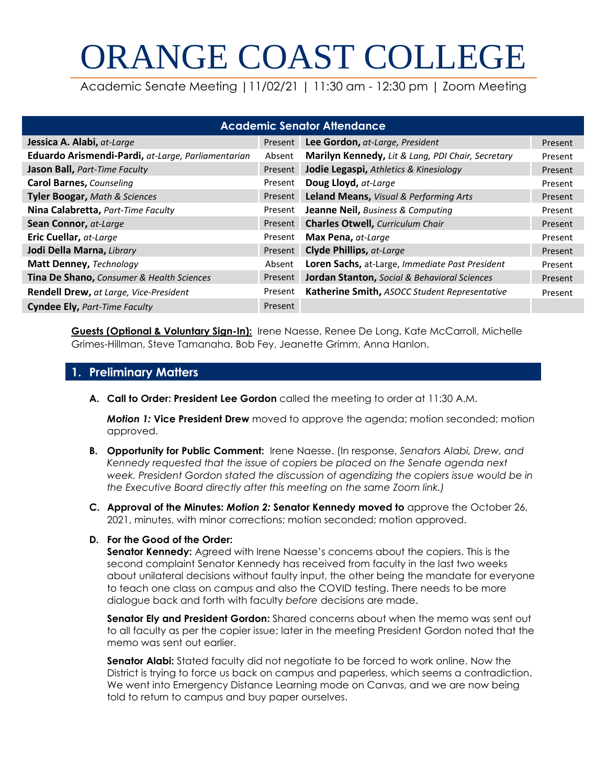# ORANGE COAST COLLEGE

Academic Senate Meeting |11/02/21 | 11:30 am - 12:30 pm | Zoom Meeting

| <b>Academic Senator Attendance</b>                 |         |                                                         |         |  |
|----------------------------------------------------|---------|---------------------------------------------------------|---------|--|
| Jessica A. Alabi, at-Large                         | Present | Lee Gordon, at-Large, President                         | Present |  |
| Eduardo Arismendi-Pardi, at-Large, Parliamentarian | Absent  | Marilyn Kennedy, Lit & Lang, PDI Chair, Secretary       | Present |  |
| Jason Ball, Part-Time Faculty                      | Present | Jodie Legaspi, Athletics & Kinesiology                  | Present |  |
| <b>Carol Barnes, Counseling</b>                    | Present | Doug Lloyd, at-Large                                    | Present |  |
| <b>Tyler Boogar, Math &amp; Sciences</b>           | Present | Leland Means, Visual & Performing Arts                  | Present |  |
| Nina Calabretta, Part-Time Faculty                 | Present | Jeanne Neil, Business & Computing                       | Present |  |
| Sean Connor, at-Large                              | Present | <b>Charles Otwell, Curriculum Chair</b>                 | Present |  |
| Eric Cuellar, at-Large                             | Present | Max Pena, at-Large                                      | Present |  |
| Jodi Della Marna, Library                          | Present | <b>Clyde Phillips, at-Large</b>                         | Present |  |
| Matt Denney, Technology                            | Absent  | Loren Sachs, at-Large, Immediate Past President         | Present |  |
| Tina De Shano, Consumer & Health Sciences          | Present | <b>Jordan Stanton, Social &amp; Behavioral Sciences</b> | Present |  |
| Rendell Drew, at Large, Vice-President             | Present | Katherine Smith, ASOCC Student Representative           | Present |  |
| <b>Cyndee Ely, Part-Time Faculty</b>               | Present |                                                         |         |  |

**Guests (Optional & Voluntary Sign-In):** Irene Naesse, Renee De Long, Kate McCarroll, Michelle Grimes-Hillman, Steve Tamanaha, Bob Fey, Jeanette Grimm, Anna Hanlon.

# **1. Preliminary Matters**

**A. Call to Order: President Lee Gordon** called the meeting to order at 11:30 A.M.

*Motion 1:* **Vice President Drew** moved to approve the agenda; motion seconded; motion approved.

- **B. Opportunity for Public Comment:** Irene Naesse. (In response, *Senators Alabi, Drew, and Kennedy requested that the issue of copiers be placed on the Senate agenda next week. President Gordon stated the discussion of agendizing the copiers issue would be in the Executive Board directly after this meeting on the same Zoom link.)*
- **C. Approval of the Minutes:** *Motion 2:* **Senator Kennedy moved to** approve the October 26, 2021, minutes, with minor corrections; motion seconded; motion approved.

# **D. For the Good of the Order:**

**Senator Kennedy:** Agreed with Irene Naesse's concerns about the copiers. This is the second complaint Senator Kennedy has received from faculty in the last two weeks about unilateral decisions without faulty input, the other being the mandate for everyone to teach one class on campus and also the COVID testing. There needs to be more dialogue back and forth with faculty *before* decisions are made.

**Senator Ely and President Gordon:** Shared concerns about when the memo was sent out to all faculty as per the copier issue; later in the meeting President Gordon noted that the memo was sent out earlier.

**Senator Alabi:** Stated faculty did not negotiate to be forced to work online. Now the District is trying to force us back on campus and paperless, which seems a contradiction. We went into Emergency Distance Learning mode on Canvas, and we are now being told to return to campus and buy paper ourselves.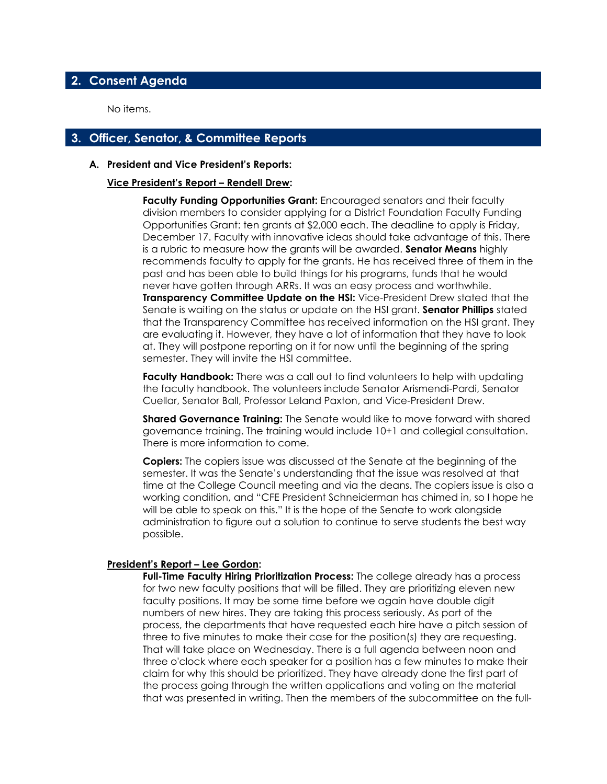# **2. Consent Agenda**

No items.

# **3. Officer, Senator, & Committee Reports**

#### **A. President and Vice President's Reports:**

#### **Vice President's Report – Rendell Drew:**

**Faculty Funding Opportunities Grant:** Encouraged senators and their faculty division members to consider applying for a District Foundation Faculty Funding Opportunities Grant: ten grants at \$2,000 each. The deadline to apply is Friday, December 17. Faculty with innovative ideas should take advantage of this. There is a rubric to measure how the grants will be awarded. **Senator Means** highly recommends faculty to apply for the grants. He has received three of them in the past and has been able to build things for his programs, funds that he would never have gotten through ARRs. It was an easy process and worthwhile. **Transparency Committee Update on the HSI:** Vice-President Drew stated that the Senate is waiting on the status or update on the HSI grant. **Senator Phillips** stated that the Transparency Committee has received information on the HSI grant. They are evaluating it. However, they have a lot of information that they have to look at. They will postpone reporting on it for now until the beginning of the spring semester. They will invite the HSI committee.

**Faculty Handbook:** There was a call out to find volunteers to help with updating the faculty handbook. The volunteers include Senator Arismendi-Pardi, Senator Cuellar, Senator Ball, Professor Leland Paxton, and Vice-President Drew.

**Shared Governance Training:** The Senate would like to move forward with shared governance training. The training would include 10+1 and collegial consultation. There is more information to come.

**Copiers:** The copiers issue was discussed at the Senate at the beginning of the semester. It was the Senate's understanding that the issue was resolved at that time at the College Council meeting and via the deans. The copiers issue is also a working condition, and "CFE President Schneiderman has chimed in, so I hope he will be able to speak on this." It is the hope of the Senate to work alongside administration to figure out a solution to continue to serve students the best way possible.

#### **President's Report – Lee Gordon:**

**Full-Time Faculty Hiring Prioritization Process:** The college already has a process for two new faculty positions that will be filled. They are prioritizing eleven new faculty positions. It may be some time before we again have double digit numbers of new hires. They are taking this process seriously. As part of the process, the departments that have requested each hire have a pitch session of three to five minutes to make their case for the position(s) they are requesting. That will take place on Wednesday. There is a full agenda between noon and three o'clock where each speaker for a position has a few minutes to make their claim for why this should be prioritized. They have already done the first part of the process going through the written applications and voting on the material that was presented in writing. Then the members of the subcommittee on the full-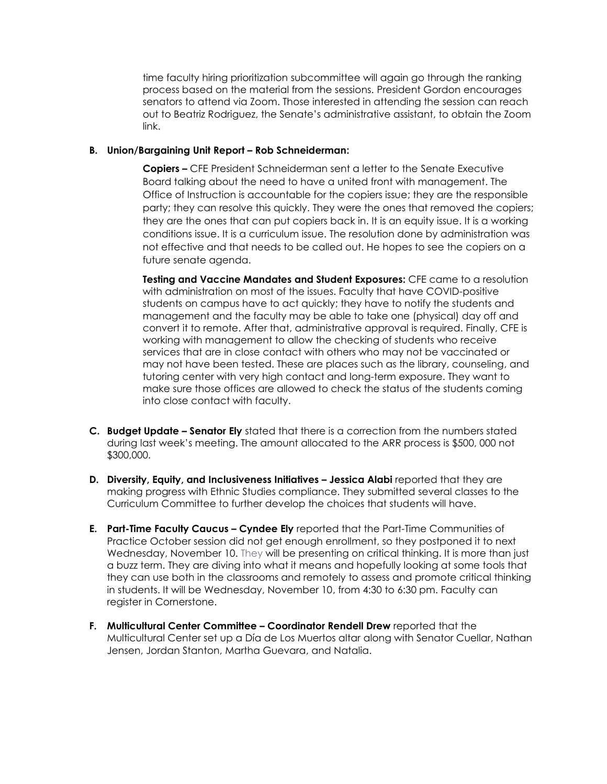time faculty hiring prioritization subcommittee will again go through the ranking process based on the material from the sessions. President Gordon encourages senators to attend via Zoom. Those interested in attending the session can reach out to Beatriz Rodriguez, the Senate's administrative assistant, to obtain the Zoom link.

#### **B.** Union/Bargaining Unit Report – Rob Schneiderman:

**Copiers –** CFE President Schneiderman sent a letter to the Senate Executive Board talking about the need to have a united front with management. The Office of Instruction is accountable for the copiers issue; they are the responsible party; they can resolve this quickly. They were the ones that removed the copiers; they are the ones that can put copiers back in. It is an equity issue. It is a working conditions issue. It is a curriculum issue. The resolution done by administration was not effective and that needs to be called out. He hopes to see the copiers on a future senate agenda.

**Testing and Vaccine Mandates and Student Exposures:** CFE came to a resolution with administration on most of the issues. Faculty that have COVID-positive students on campus have to act quickly; they have to notify the students and management and the faculty may be able to take one (physical) day off and convert it to remote. After that, administrative approval is required. Finally, CFE is working with management to allow the checking of students who receive services that are in close contact with others who may not be vaccinated or may not have been tested. These are places such as the library, counseling, and tutoring center with very high contact and long-term exposure. They want to make sure those offices are allowed to check the status of the students coming into close contact with faculty.

- **C. Budget Update – Senator Ely** stated that there is a correction from the numbers stated during last week's meeting. The amount allocated to the ARR process is \$500, 000 not \$300,000.
- **D. Diversity, Equity, and Inclusiveness Initiatives – Jessica Alabi** reported that they are making progress with Ethnic Studies compliance. They submitted several classes to the Curriculum Committee to further develop the choices that students will have.
- **E.** Part-Time Faculty Caucus Cyndee Ely reported that the Part-Time Communities of Practice October session did not get enough enrollment, so they postponed it to next Wednesday, November 10. They will be presenting on critical thinking. It is more than just a buzz term. They are diving into what it means and hopefully looking at some tools that they can use both in the classrooms and remotely to assess and promote critical thinking in students. It will be Wednesday, November 10, from 4:30 to 6:30 pm. Faculty can register in Cornerstone.
- **F. Multicultural Center Committee – Coordinator Rendell Drew** reported that the Multicultural Center set up a Día de Los Muertos altar along with Senator Cuellar, Nathan Jensen, Jordan Stanton, Martha Guevara, and Natalia.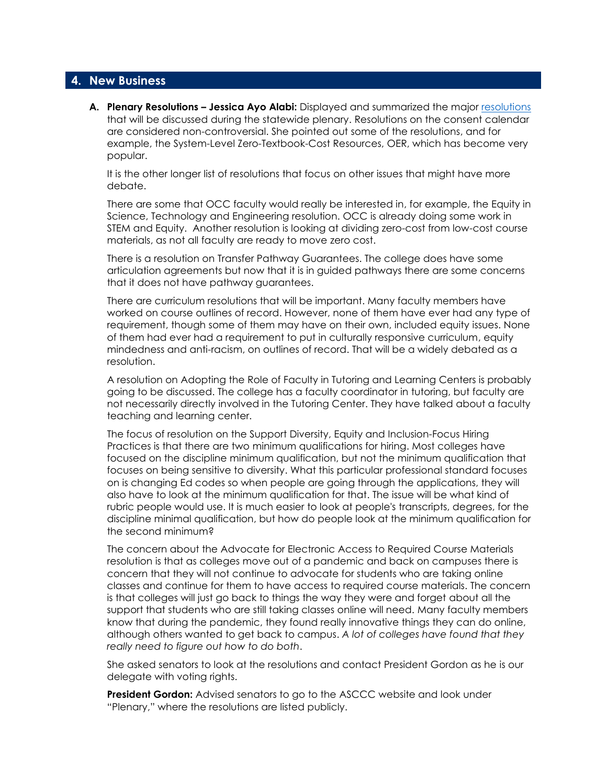### **4. New Business**

**A. Plenary Resolutions – Jessica Ayo Alabi:** Displayed and summarized the major [resolutions](https://asccc.org/file/2021-resolutions-packet-discussion-nov-2-2021-finaldocx) that will be discussed during the statewide plenary. Resolutions on the consent calendar are considered non-controversial. She pointed out some of the resolutions, and for example, the System-Level Zero-Textbook-Cost Resources, OER, which has become very popular.

It is the other longer list of resolutions that focus on other issues that might have more debate.

There are some that OCC faculty would really be interested in, for example, the Equity in Science, Technology and Engineering resolution. OCC is already doing some work in STEM and Equity. Another resolution is looking at dividing zero-cost from low-cost course materials, as not all faculty are ready to move zero cost.

There is a resolution on Transfer Pathway Guarantees. The college does have some articulation agreements but now that it is in guided pathways there are some concerns that it does not have pathway guarantees.

There are curriculum resolutions that will be important. Many faculty members have worked on course outlines of record. However, none of them have ever had any type of requirement, though some of them may have on their own, included equity issues. None of them had ever had a requirement to put in culturally responsive curriculum, equity mindedness and anti-racism, on outlines of record. That will be a widely debated as a resolution.

A resolution on Adopting the Role of Faculty in Tutoring and Learning Centers is probably going to be discussed. The college has a faculty coordinator in tutoring, but faculty are not necessarily directly involved in the Tutoring Center. They have talked about a faculty teaching and learning center.

The focus of resolution on the Support Diversity, Equity and Inclusion-Focus Hiring Practices is that there are two minimum qualifications for hiring. Most colleges have focused on the discipline minimum qualification, but not the minimum qualification that focuses on being sensitive to diversity. What this particular professional standard focuses on is changing Ed codes so when people are going through the applications, they will also have to look at the minimum qualification for that. The issue will be what kind of rubric people would use. It is much easier to look at people's transcripts, degrees, for the discipline minimal qualification, but how do people look at the minimum qualification for the second minimum?

The concern about the Advocate for Electronic Access to Required Course Materials resolution is that as colleges move out of a pandemic and back on campuses there is concern that they will not continue to advocate for students who are taking online classes and continue for them to have access to required course materials. The concern is that colleges will just go back to things the way they were and forget about all the support that students who are still taking classes online will need. Many faculty members know that during the pandemic, they found really innovative things they can do online, although others wanted to get back to campus. *A lot of colleges have found that they really need to figure out how to do both*.

She asked senators to look at the resolutions and contact President Gordon as he is our delegate with voting rights.

**President Gordon:** Advised senators to go to the ASCCC website and look under "Plenary," where the resolutions are listed publicly.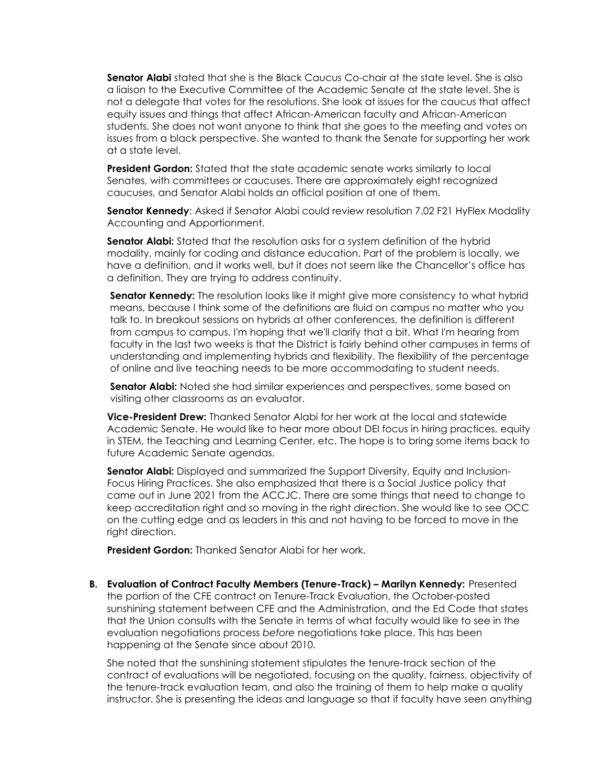**Senator Alabi** stated that she is the Black Caucus Co-chair at the state level. She is also a liaison to the Executive Committee of the Academic Senate at the state level. She is not a delegate that votes for the resolutions. She look at issues for the caucus that affect equity issues and things that affect African-American faculty and African-American students. She does not want anyone to think that she goes to the meeting and votes on issues from a black perspective. She wanted to thank the Senate for supporting her work at a state level.

**President Gordon:** Stated that the state academic senate works similarly to local Senates, with committees or caucuses. There are approximately eight recognized caucuses, and Senator Alabi holds an official position at one of them.

**Senator Kennedy**: Asked if Senator Alabi could review resolution 7.02 F21 HyFlex Modality Accounting and Apportionment.

**Senator Alabi:** Stated that the resolution asks for a system definition of the hybrid modality, mainly for coding and distance education. Part of the problem is locally, we have a definition, and it works well, but it does not seem like the Chancellor's office has a definition. They are trying to address continuity.

**Senator Kennedy:** The resolution looks like it might give more consistency to what hybrid means, because I think some of the definitions are fluid on campus no matter who you talk to. In breakout sessions on hybrids at other conferences, the definition is different from campus to campus. I'm hoping that we'll clarify that a bit. What I'm hearing from faculty in the last two weeks is that the District is fairly behind other campuses in terms of understanding and implementing hybrids and flexibility. The flexibility of the percentage of online and live teaching needs to be more accommodating to student needs.

**Senator Alabi:** Noted she had similar experiences and perspectives, some based on visiting other classrooms as an evaluator.

**Vice-President Drew:** Thanked Senator Alabi for her work at the local and statewide Academic Senate. He would like to hear more about DEI focus in hiring practices, equity in STEM, the Teaching and Learning Center, etc. The hope is to bring some items back to future Academic Senate agendas.

**Senator Alabi:** Displayed and summarized the Support Diversity, Equity and Inclusion-Focus Hiring Practices. She also emphasized that there is a Social Justice policy that came out in June 2021 from the ACCJC. There are some things that need to change to keep accreditation right and so moving in the right direction. She would like to see OCC on the cutting edge and as leaders in this and not having to be forced to move in the right direction.

**President Gordon:** Thanked Senator Alabi for her work.

**B. Evaluation of Contract Faculty Members (Tenure-Track) – Marilyn Kennedy:** Presented the portion of the CFE contract on Tenure-Track Evaluation, the October-posted sunshining statement between CFE and the Administration, and the Ed Code that states that the Union consults with the Senate in terms of what faculty would like to see in the evaluation negotiations process *before* negotiations take place. This has been happening at the Senate since about 2010.

She noted that the sunshining statement stipulates the tenure-track section of the contract of evaluations will be negotiated, focusing on the quality, fairness, objectivity of the tenure-track evaluation team, and also the training of them to help make a quality instructor. She is presenting the ideas and language so that if faculty have seen anything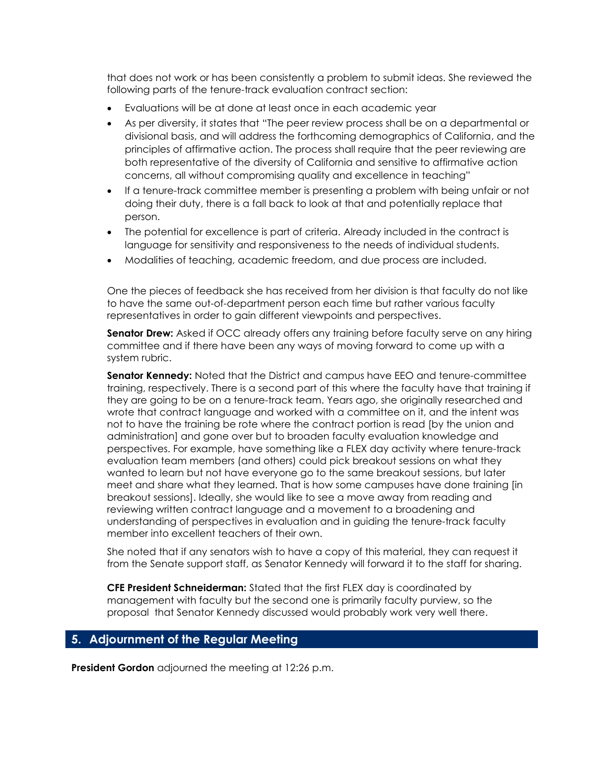that does not work or has been consistently a problem to submit ideas. She reviewed the following parts of the tenure-track evaluation contract section:

- Evaluations will be at done at least once in each academic year
- As per diversity, it states that "The peer review process shall be on a departmental or divisional basis, and will address the forthcoming demographics of California, and the principles of affirmative action. The process shall require that the peer reviewing are both representative of the diversity of California and sensitive to affirmative action concerns, all without compromising quality and excellence in teaching"
- If a tenure-track committee member is presenting a problem with being unfair or not doing their duty, there is a fall back to look at that and potentially replace that person.
- The potential for excellence is part of criteria. Already included in the contract is language for sensitivity and responsiveness to the needs of individual students.
- Modalities of teaching, academic freedom, and due process are included.

One the pieces of feedback she has received from her division is that faculty do not like to have the same out-of-department person each time but rather various faculty representatives in order to gain different viewpoints and perspectives.

**Senator Drew:** Asked if OCC already offers any training before faculty serve on any hiring committee and if there have been any ways of moving forward to come up with a system rubric.

**Senator Kennedy:** Noted that the District and campus have EEO and tenure-committee training, respectively. There is a second part of this where the faculty have that training if they are going to be on a tenure-track team. Years ago, she originally researched and wrote that contract language and worked with a committee on it, and the intent was not to have the training be rote where the contract portion is read [by the union and administration] and gone over but to broaden faculty evaluation knowledge and perspectives. For example, have something like a FLEX day activity where tenure-track evaluation team members (and others) could pick breakout sessions on what they wanted to learn but not have everyone go to the same breakout sessions, but later meet and share what they learned. That is how some campuses have done training [in breakout sessions]. Ideally, she would like to see a move away from reading and reviewing written contract language and a movement to a broadening and understanding of perspectives in evaluation and in guiding the tenure-track faculty member into excellent teachers of their own.

She noted that if any senators wish to have a copy of this material, they can request it from the Senate support staff, as Senator Kennedy will forward it to the staff for sharing.

**CFE President Schneiderman:** Stated that the first FLEX day is coordinated by management with faculty but the second one is primarily faculty purview, so the proposal that Senator Kennedy discussed would probably work very well there.

# **5. Adjournment of the Regular Meeting**

**President Gordon** adjourned the meeting at 12:26 p.m.